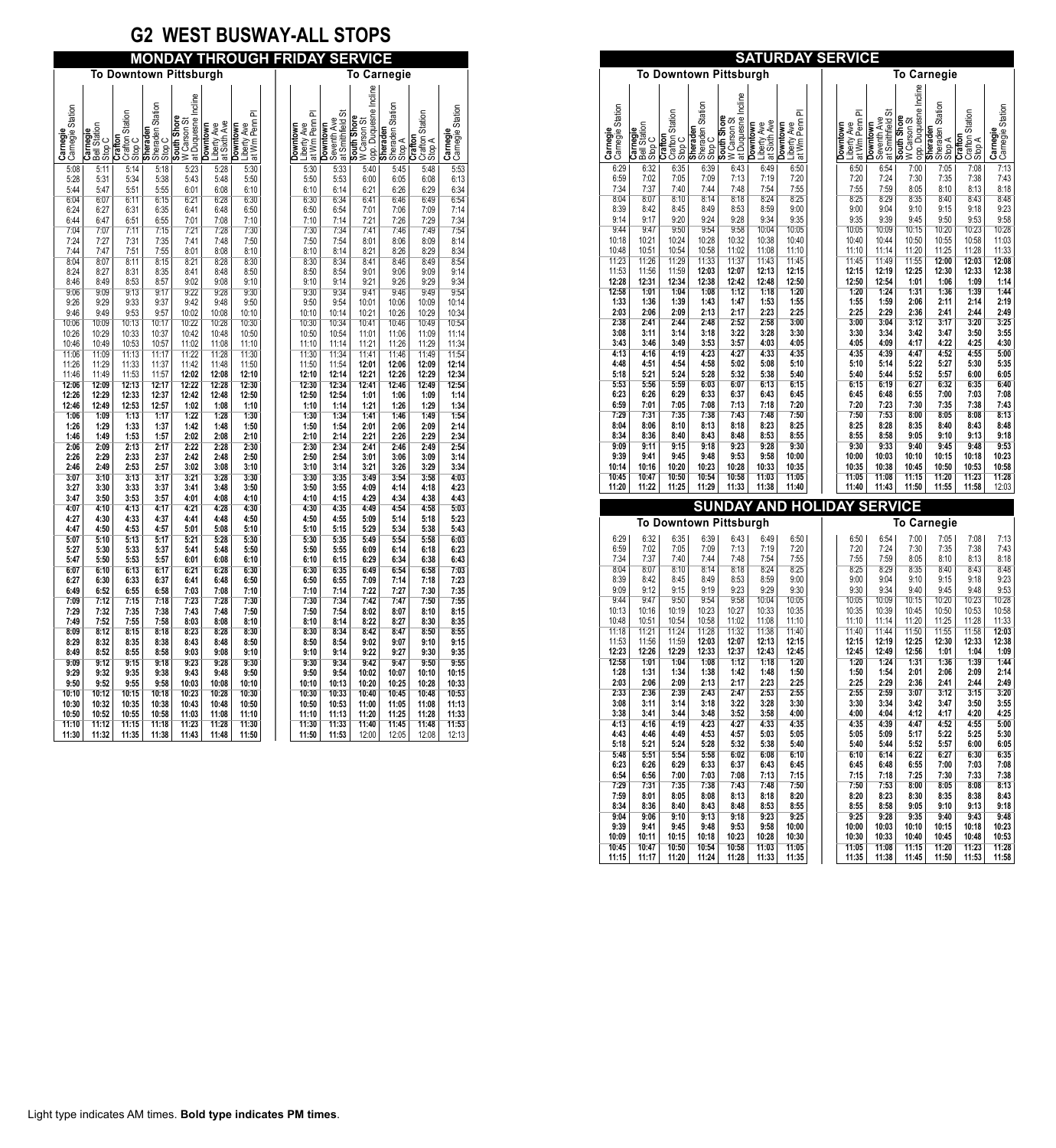# **G2 WEST BUSWAY-ALL STOPS**

| <b>MONDAY THROUGH FRIDAY SERVICE</b> |                                    |                                      |                                               |                                                   |                                                |                                                    |  |  |                                            |                                                      |                                                     |                                               |                                      |                              |
|--------------------------------------|------------------------------------|--------------------------------------|-----------------------------------------------|---------------------------------------------------|------------------------------------------------|----------------------------------------------------|--|--|--------------------------------------------|------------------------------------------------------|-----------------------------------------------------|-----------------------------------------------|--------------------------------------|------------------------------|
| <b>To Downtown Pittsburgh</b>        |                                    |                                      |                                               |                                                   |                                                |                                                    |  |  |                                            |                                                      | <b>To Carnegie</b>                                  |                                               |                                      |                              |
| Carnegie Station<br>Carnegie         | Bell Station<br>Carnegie<br>Stop C | Crafton Station<br>Crafton<br>Stop C | Sheraden Station<br><b>Sheraden</b><br>Stop C | at Duquesne Incline<br>South Shore<br>W Carson St | at Sixth Ave<br><b>Downtown</b><br>Liberty Ave | ᇎ<br>Penn<br>Liberty Ave<br>at Wm Penn<br>Downtown |  |  | ᇎ<br>at Wm Penn<br>Liberty Ave<br>Downtown | ळ<br>at Smithfield<br>Seventh Ave<br><b>Downtown</b> | opp. Duquesne Incline<br>South Shore<br>W Carson St | Sheraden Station<br><b>Sheraden</b><br>Stop A | Crafton Station<br>Stop A<br>Crafton | Carnegie<br>Carnegie Station |
| 5:08<br>5:28                         | 5:11<br>5:31                       | 5:14<br>5:34                         | 5:18<br>5:38                                  | 5:23<br>5:43                                      | 5:28<br>5:48                                   | 5:30<br>5:50                                       |  |  | 5:30<br>5:50                               | 5:33<br>5:53                                         | 5:40<br>6:00                                        | 5:45<br>6:05                                  | 5:48<br>6:08                         | $\overline{5:}53$<br>6:13    |
| 5:44                                 | 5:47                               | 5:51                                 | 5:55                                          | 6:01                                              | 6:08                                           | 6:10                                               |  |  | 6:10                                       | 6:14                                                 | 6:21                                                | 6:26                                          | 6:29                                 | 6:34                         |
| 6:04<br>6:24                         | 6:07<br>6:27                       | 6:11<br>6:31                         | 6:15<br>6:35                                  | 6:21<br>6:41                                      | 6:28<br>6:48                                   | 6:30<br>6:50                                       |  |  | 6:30<br>6:50                               | 6:34<br>6:54                                         | 6:41<br>7:01                                        | 6:46<br>7:06                                  | 6:49<br>7:09                         | 6:54<br>7:14                 |
| 6:44                                 | 6:47                               | 6:51                                 | 6:55                                          | 7:01                                              | 7:08                                           | 7:10                                               |  |  | 7:10                                       | 7:14                                                 | 7:21                                                | 7:26                                          | 7:29                                 | 7:34                         |
| 7:04                                 | 7:07                               | 7:11                                 | 7:15                                          | 7:21                                              | 7:28                                           | 7:30                                               |  |  | 7:30                                       | 7:34                                                 | 7:41                                                | 7:46                                          | 7:49                                 | 7:54                         |
| 7:24                                 | 7:27                               | 7:31<br>7:51                         | 7:35                                          | 7:41<br>8:01                                      | 7:48                                           | 7:50<br>8:10                                       |  |  | 7:50                                       | 7:54<br>8:14                                         | 8:01                                                | 8:06<br>8:26                                  | 8:09<br>8:29                         | 8:14<br>8:34                 |
| 7:44<br>8:04                         | 7:47<br>8:07                       | 8:11                                 | 7:55<br>8:15                                  | 8:21                                              | 8:08<br>8:28                                   | 8:30                                               |  |  | 8:10<br>8:30                               | 8:34                                                 | 8:21<br>8:41                                        | 8:46                                          | 8:49                                 | 8:54                         |
| 8:24                                 | 8:27                               | 8:31                                 | 8:35                                          | 8:41                                              | 8:48                                           | 8:50                                               |  |  | 8:50                                       | 8:54                                                 | 9:01                                                | 9:06                                          | 9:09                                 | 9:14                         |
| 8:46                                 | 8:49                               | 8:53                                 | 8:57                                          | 9:02                                              | 9:08                                           | 9:10                                               |  |  | 9:10                                       | 9:14                                                 | 9:21                                                | 9:26                                          | 9:29                                 | 9:34                         |
| 9:06<br>9:26                         | 9:09<br>9:29                       | 9:13<br>9:33                         | 9:17<br>9:37                                  | 9:22<br>9:42                                      | 9:28<br>9:48                                   | 9:30<br>9:50                                       |  |  | 9:30<br>9:50                               | 9:34<br>9:54                                         | 9:41<br>10:01                                       | 9:46<br>10:06                                 | 9:49<br>10:09                        | 9:54<br>10:14                |
| 9:46                                 | 9:49                               | 9:53                                 | 9:57                                          | 10:02                                             | 10:08                                          | 10:10                                              |  |  | 10:10                                      | 10:14                                                | 10:21                                               | 10:26                                         | 10:29                                | 10:34                        |
| 10:06                                | 10:09                              | 10:13                                | 10:17                                         | 10:22                                             | 10:28                                          | 10:30                                              |  |  | 10:30                                      | 10:34                                                | 10:41                                               | 10:46                                         | 10:49                                | 10:54                        |
| 10:26                                | 10:29                              | 10:33                                | 10:37                                         | 10:42                                             | 10:48                                          | 10:50                                              |  |  | 10:50                                      | 10:54                                                | 11:01                                               | 11:06                                         | 11:09                                | 11:14                        |
| 10:46<br>11:06                       | 10:49<br>11:09                     | 10:53<br>11:13                       | 10:57<br>11:17                                | 11:02<br>11:22                                    | 11:08<br>11:28                                 | 11:10<br>11:30                                     |  |  | 11:10<br>11:30                             | 11:14<br>11:34                                       | 11:21<br>11:41                                      | 11:26<br>11:46                                | 11:29<br>11:49                       | 11:34<br>11:54               |
| 11:26                                | 11:29                              | 11:33                                | 11:37                                         | 11:42                                             | 11:48                                          | 11:50                                              |  |  | 11:50                                      | 11:54                                                | 12:01                                               | 12:06                                         | 12:09                                | 12:14                        |
| 11:46                                | 11:49                              | 11:53                                | 11:57                                         | 12:02                                             | 12:08                                          | 12:10                                              |  |  | 12:10                                      | 12:14                                                | 12:21                                               | 12:26                                         | 12:29                                | 12:34                        |
| 12:06                                | 12:09                              | 12:13                                | 12:17                                         | 12:22                                             | 12:28                                          | 12:30                                              |  |  | 12:30                                      | 12:34                                                | 12.41                                               | 12:46                                         | 12:49                                | 12:54                        |
| 12:26<br>12:46                       | 12:29<br>12:49                     | 12:33<br>12:53                       | 12:37<br>12:57                                | 12:42<br>1:02                                     | 12:48<br>1:08                                  | 12:50<br>1:10                                      |  |  | 12:50<br>1:10                              | 12:54<br>1:14                                        | 1:01<br>1:21                                        | 1:06<br>1:26                                  | 1:09<br>1:29                         | 1:14<br>1:34                 |
| 1:06                                 | 1:09                               | 1:13                                 | 1:17                                          | 1:22                                              | 1:28                                           | 1:30                                               |  |  | 1:30                                       | 1:34                                                 | 1:41                                                | 1:46                                          | 1:49                                 | 1:54                         |
| 1:26                                 | 1:29                               | 1:33                                 | 1:37                                          | 1:42                                              | 1:48                                           | 1:50                                               |  |  | 1:50                                       | 1:54                                                 | 2:01                                                | 2:06                                          | 2:09                                 | 2:14                         |
| 1:46                                 | 1:49                               | 1:53                                 | 1:57                                          | 2:02                                              | 2:08                                           | 2:10                                               |  |  | 2:10                                       | 2:14                                                 | 2:21                                                | 2:26                                          | 2:29                                 | 2:34                         |
| 2:06<br>2:26                         | 2:09<br>2:29                       | 2:13<br>2:33                         | 2:17<br>2:37                                  | 2:22<br>2:42                                      | 2:28<br>2:48                                   | 2:30<br>2:50                                       |  |  | 2:30<br>2:50                               | 2:34<br>2:54                                         | 2:41<br>3:01                                        | 2:46<br>3:06                                  | 2:49<br>3:09                         | 2:54<br>3:14                 |
| 2:46                                 | 2:49                               | 2:53                                 | 2:57                                          | 3:02                                              | 3:08                                           | 3:10                                               |  |  | 3:10                                       | 3:14                                                 | 3:21                                                | 3:26                                          | 3:29                                 | 3:34                         |
| 3:07                                 | 3:10                               | 3:13                                 | 3:17                                          | 3:21                                              | 3:28                                           | 3:30                                               |  |  | 3:30                                       | 3:35                                                 | 3:49                                                | 3:54                                          | 3:58                                 | 4:03                         |
| 3:27                                 | 3:30                               | 3:33                                 | 3:37                                          | 3:41                                              | 3:48                                           | 3:50                                               |  |  | 3:50                                       | 3:55                                                 | 4:09                                                | 4:14                                          | 4:18                                 | 4:23                         |
| 3:47<br>4:07                         | 3:50<br>4:10                       | 3:53<br>4:13                         | 3:57<br>4:17                                  | 4:01<br>4:21                                      | 4:08<br>4:28                                   | 4:10<br>4:30                                       |  |  | 4:10<br>4:30                               | 4:15<br>4:35                                         | 4:29<br>4:49                                        | 4:34<br>4:54                                  | 4:38<br>4:58                         | 4:43<br>5:03                 |
| 4:27                                 | 4:30                               | 4:33                                 | 4:37                                          | 4:41                                              | 4:48                                           | 4:50                                               |  |  | 4:50                                       | 4:55                                                 | 5:09                                                | 5:14                                          | 5:18                                 | 5:23                         |
| 4:47                                 | 4:50                               | 4:53                                 | 4:57                                          | 5:01                                              | 5:08                                           | 5:10                                               |  |  | 5:10                                       | 5:15                                                 | 5:29                                                | 5:34                                          | 5:38                                 | 5:43                         |
| 5:07<br>5:27                         | 5:10<br>5:30                       | 5:13<br>5:33                         | 5:17<br>5:37                                  | 5:21<br>5:41                                      | 5:28<br>5:48                                   | 5:30<br>5:50                                       |  |  | 5:30<br>5:50                               | 5:35<br>5:55                                         | 5:49<br>6:09                                        | 5:54<br>6:14                                  | 5:58<br>6:18                         | 6:03<br>6:23                 |
| 5:47                                 | 5:50                               | 5:53                                 | 5:57                                          | 6:01                                              | 6:08                                           | 6:10                                               |  |  | 6:10                                       | 6:15                                                 | 6:29                                                | 6:34                                          | 6:38                                 | 6:43                         |
| 6:07                                 | 6:10                               | 6:13                                 | 6:17                                          | 6:21                                              | 6:28                                           | 6:30                                               |  |  | 6:30                                       | 6:35                                                 | 6:49                                                | 6:54                                          | 6:58                                 | 7:03                         |
| 6:27                                 | 6:30                               | 6:33                                 | 6:37                                          | 6:41                                              | 6:48                                           | 6:50                                               |  |  | 6:50                                       | 6:55                                                 | 7:09                                                | 7:14                                          | 7:18                                 | 7:23                         |
| 6:49<br>7:09                         | 6:52<br>7:12                       | 6:55<br>7:15                         | 6:58<br>7:18                                  | 7:03<br>7:23                                      | 7:08<br>7:28                                   | 7:10<br>7:30                                       |  |  | 7:10<br>7:30                               | 7:14<br>7:34                                         | 7:22<br>7:42                                        | 7:27<br>7:47                                  | 7:30<br>7:50                         | 7:35<br>7:55                 |
| 7:29                                 | 7:32                               | 7:35                                 | 7:38                                          | 7:43                                              | 7:48                                           | 7:50                                               |  |  | 7:50                                       | 7:54                                                 | 8:02                                                | 8:07                                          | 8:10                                 | 8:15                         |
| 7:49                                 | 7:52                               | 7:55                                 | 7:58                                          | 8:03                                              | 8:08                                           | 8:10                                               |  |  | 8:10                                       | 8:14                                                 | 8:22                                                | 8:27                                          | 8:30                                 | 8:35                         |
| 8:09                                 | 8:12                               | 8:15                                 | 8:18                                          | 8:23                                              | 8:28                                           | 8:30                                               |  |  | 8:30                                       | 8:34                                                 | 8:42                                                | 8:47                                          | 8:50                                 | 8:55                         |
| 8:29<br>8:49                         | 8:32<br>8:52                       | 8:35<br>8:55                         | 8:38<br>8:58                                  | 8:43<br>9:03                                      | 8:48<br>9:08                                   | 8:50<br>9:10                                       |  |  | 8:50<br>9:10                               | 8:54<br>9:14                                         | 9:02<br>9:22                                        | 9:07<br>9:27                                  | 9:10<br>9:30                         | 9:15<br>9:35                 |
| 9:09                                 | 9:12                               | 9:15                                 | 9:18                                          | 9:23                                              | 9:28                                           | 9:30                                               |  |  | 9:30                                       | 9:34                                                 | 9:42                                                | 9:47                                          | 9:50                                 | 9:55                         |
| 9:29                                 | 9:32                               | 9:35                                 | 9:38                                          | 9:43                                              | 9:48                                           | 9:50                                               |  |  | 9:50                                       | 9:54                                                 | 10:02                                               | 10:07                                         | 10:10                                | 10:15                        |
| 9:50                                 | 9:52                               | 9:55                                 | 9:58                                          | 10:03                                             | 10:08                                          | 10:10                                              |  |  | 10:10                                      | 10:13                                                | 10:20                                               | 10:25                                         | 10:28                                | 10:33                        |
| 10:10<br>10:30                       | 10:12<br>10:32                     | 10:15<br>10:35                       | 10:18<br>10:38                                | 10:23<br>10:43                                    | 10:28<br>10:48                                 | 10:30<br>10:50                                     |  |  | 10:30<br>10:50                             | 10:33<br>10:53                                       | 10:40<br>11:00                                      | 10:45<br>11:05                                | 10:48<br>11:08                       | 10:53<br>11:13               |
| 10:50                                | 10:52                              | 10:55                                | 10:58                                         | 11:03                                             | 11:08                                          | 11:10                                              |  |  | 11:10                                      | 11:13                                                | 11:20                                               | 11:25                                         | 11:28                                | 11:33                        |
| 11:10                                | 11:12                              | 11:15                                | 11:18                                         | 11:23                                             | 11:28                                          | 11:30                                              |  |  | 11:30                                      | 11:33                                                | 11:40                                               | 11:45                                         | 11:48                                | 11:53                        |
| 11:30                                | 11:32                              | 11:35                                | 11:38                                         | 11:43                                             | 11:48                                          | 11:50                                              |  |  | 11:50                                      | 11:53                                                | 12:00                                               | 12:05                                         | 12:08                                | 12:13                        |

| <b>SATURDAY SERVICE</b>       |                                    |                                      |                               |                            |                                         |                                       |  |                                   |                                              |                                                    |                                   |                            |                                      |                         |
|-------------------------------|------------------------------------|--------------------------------------|-------------------------------|----------------------------|-----------------------------------------|---------------------------------------|--|-----------------------------------|----------------------------------------------|----------------------------------------------------|-----------------------------------|----------------------------|--------------------------------------|-------------------------|
| <b>To Downtown Pittsburgh</b> |                                    |                                      |                               |                            |                                         |                                       |  | <b>To Carnegie</b>                |                                              |                                                    |                                   |                            |                                      |                         |
| Camegie Station               |                                    |                                      | Sheraden Station<br>Stop C    | at Duquesne Incline        |                                         | ᇎ                                     |  |                                   | ᇎ                                            |                                                    | opp. Duquesne Indine              | Sheraden Station<br>Stop A |                                      | Camegie Station         |
| Carnegie                      | Carnegie<br>Bell Station<br>Stop C | Crafton Station<br>Crafton<br>Stop C | <b>Sheraden</b>               | South Shore<br>W Carson St | at Sixth Ave<br>Downtown<br>Liberty Ave | at Wm Penn<br>Liberty Ave<br>Downtown |  |                                   | at Wm Penn<br>Liberty Ave<br><b>Downtown</b> | at Smithfield St<br>Seventh Ave<br><b>Downtown</b> | <b>South Shore</b><br>W Carson St | Sheraden                   | Crafton Station<br>Stop A<br>Crafton | Carnegie                |
| 6:29<br>6:59                  | 6:32<br>7:02                       | 6:35<br>7:05                         | 6:39<br>7:09                  | 6:43<br>7:13               | 6:49<br>7:19                            | 6:50<br>7:20                          |  |                                   | 6:50<br>7:20                                 | 6:54<br>7:24                                       | 7:00<br>7:30                      | 7:05<br>7:35               | 7:08<br>7:38                         | 7:13<br>7:43            |
| 7:34<br>8:04<br>8:39          | 7:37<br>8:07<br>8:42               | 7:40<br>8:10<br>8:45                 | 7:44<br>8:14<br>8:49          | 7:48<br>8:18<br>8:53       | 7:54<br>8:24<br>8:59                    | 7:55<br>8:25<br>9:00                  |  |                                   | 7:55<br>8:25<br>9:00                         | 7:59<br>8:29<br>9:04                               | 8:05<br>8:35<br>9:10              | 8:10<br>8:40<br>9:15       | 8:13<br>8:43<br>9:18                 | 8:18<br>8:48<br>9:23    |
| 9:14<br>9:44                  | 9:17<br>9:47                       | 9:20<br>9:50                         | 9:24<br>9:54                  | 9:28<br>9:58               | 9:34<br>10:04                           | 9:35<br>10:05                         |  |                                   | 9:35<br>10:05                                | 9:39<br>10:09                                      | 9:45<br>10:15                     | 9:50<br>10:20              | 9:53<br>10:23                        | 9:58<br>10:28           |
| 10:18<br>10:48<br>11:23       | 10:21<br>10:51<br>11:26            | 10:24<br>10:54<br>11:29              | 10:28<br>10:58<br>11:33       | 10:32<br>11:02<br>11:37    | 10:38<br>11:08<br>11:43                 | 10:40<br>11:10<br>11:45               |  |                                   | 10:40<br>11:10<br>11:45                      | 10:44<br>11:14<br>11:49                            | 10:50<br>11:20<br>11:55           | 10:55<br>11:25<br>12:00    | 10:58<br>11:28<br>12:03              | 11:03<br>11:33<br>12:08 |
| 11:53<br>12:28                | 11:56<br>12:31                     | 11:59<br>12:34                       | 12:03<br>12:38                | 12:07<br>12:42             | 12:13<br>12:48                          | 12:15<br>12:50                        |  |                                   | 12:15<br>12:50                               | 12:19<br>12:54                                     | 12:25<br>1:01                     | 12:30<br>1:06              | 12:33<br>1:09                        | 12:38<br>1:14           |
| 12:58<br>1:33<br>2:03         | 1:01<br>1:36<br>2:06               | 1:04<br>1:39<br>2:09                 | 1:08<br>1:43<br>2:13          | 1:12<br>1:47<br>2:17       | 1:18<br>1:53<br>2:23                    | 1:20<br>1:55<br>2:25                  |  |                                   | 1:20<br>1:55<br>2:25                         | 1:24<br>1:59<br>2:29                               | 1:31<br>2:06<br>2:36              | 1:36<br>2:11<br>2:41       | 1:39<br>2:14<br>2:44                 | 1:44<br>2:19<br>2:49    |
| 2:38<br>3:08                  | 2:41<br>3:11                       | 2:44<br>3:14                         | 2:48<br>3:18                  | 2:52<br>3:22               | 2:58<br>3:28                            | 3:00<br>3:30                          |  |                                   | 3:00<br>3:30                                 | 3:04<br>3:34                                       | 3:12<br>3:42                      | 3:17<br>3:47               | 3:20<br>3:50                         | 3:25<br>3:55            |
| 3:43<br>4:13<br>4:48          | 3:46<br>4:16<br>4:51               | 3:49<br>4:19<br>4:54                 | 3:53<br>4:23<br>4:58          | 3:57<br>4:27<br>5:02       | 4:03<br>4:33<br>5:08                    | 4:05<br>4:35<br>5:10                  |  |                                   | 4:05<br>4:35<br>5:10                         | 4:09<br>4:39<br>5:14                               | 4:17<br>4:47<br>5:22              | 4:22<br>4:52<br>5:27       | 4:25<br>4:55<br>5:30                 | 4:30<br>5:00<br>5:35    |
| 5:18<br>5:53                  | 5:21<br>5:56                       | 5:24<br>5:59                         | 5:28<br>6:03                  | 5:32<br>6:07               | 5:38<br>6:13                            | 5:40<br>6:15                          |  |                                   | 5:40<br>6:15                                 | 5:44<br>6:19                                       | 5:52<br>6:27                      | 5:57<br>6:32               | 6:00<br>6:35                         | 6:05<br>6:40            |
| 6:23<br>6:59<br>7:29          | 6:26<br>7:01<br>7:31               | 6:29<br>7:05<br>7:35                 | 6:33<br>7:08<br>7:38          | 6:37<br>7:13<br>7:43       | 6:43<br>7:18<br>7:48                    | 6:45<br>7:20<br>7:50                  |  |                                   | 6:45<br>7:20<br>7:50                         | 6:48<br>7:23<br>7:53                               | 6:55<br>7:30<br>8:00              | 7:00<br>7:35<br>8:05       | 7:03<br>7:38<br>8:08                 | 7:08<br>7:43<br>8:13    |
| 8:04<br>8:34                  | 8:06<br>8:36                       | 8:10<br>8:40                         | 8:13<br>8:43                  | 8:18<br>8:48               | 8:23<br>8:53                            | 8:25<br>8:55                          |  |                                   | 8:25<br>8:55                                 | 8:28<br>8:58                                       | 8:35<br>9:05                      | 8:40<br>9:10               | 8:43<br>9:13                         | 8:48<br>9:18            |
| 9:09<br>9:39<br>10:14         | 9:11<br>9:41<br>10:16              | 9:15<br>9:45<br>10:20                | 9:18<br>9:48<br>10:23         | 9:23<br>9:53<br>10:28      | 9:28<br>9:58<br>10:33                   | 9:30<br>10:00<br>10:35                |  |                                   | 9:30<br>10:00<br>10:35                       | 9:33<br>10:03<br>10:38                             | 9:40<br>10:10<br>10:45            | 9:45<br>10:15<br>10:50     | 9:48<br>10:18<br>10:53               | 9:53<br>10:23<br>10:58  |
| 10:45<br>11:20                | 10:47<br>11:22                     | 10:50<br>11:25                       | 10:54<br>11:29                | 10:58<br>11:33             | 11:03<br>11:38                          | 11:05<br>11:40                        |  |                                   | 11:05<br>11:40                               | 11:08<br>11:43                                     | 11:15<br>11:50                    | 11:20<br>11:55             | 11:23<br>11:58                       | 11:28<br>12:03          |
|                               |                                    |                                      |                               |                            |                                         | <b>SUNDAY AND HOL</b>                 |  | <b>IDAY</b><br><b>SERVI</b><br>СE |                                              |                                                    |                                   |                            |                                      |                         |
|                               |                                    |                                      | <b>To Downtown Pittsburgh</b> |                            |                                         |                                       |  | <b>To Carnegie</b>                |                                              |                                                    |                                   |                            |                                      |                         |
| 6:29<br>6:59<br>7:34          | 6:32<br>7:02<br>7:37               | 6:35<br>7:05<br>7:40                 | 6:39<br>7:09<br>7:44          | 6:43<br>7:13<br>7:48       | 6:49<br>7:19<br>7:54                    | 6:50<br>7:20<br>7:55                  |  |                                   | 6:50<br>7:20<br>7:55                         | 6:54<br>7:24<br>7:59                               | 7:00<br>7:30<br>8:05              | 7:05<br>7:35<br>8:10       | 7:08<br>7:38<br>8:13                 | 7:13<br>7:43<br>8:18    |
| 8:04<br>8:39                  | 8:07<br>8:42                       | 8:10<br>8:45                         | 8:14<br>8:49                  | 8:18<br>8:53               | 8:24<br>8:59                            | 8:25<br>9:00                          |  |                                   | 8:25<br>9:00                                 | 8:29<br>9:04                                       | 8:35<br>9:10                      | 8:40<br>9:15               | 8:43<br>9:18                         | 8:48<br>9:23            |
| 9:09<br>9:44<br>10:13         | 9:12<br>9:47<br>10:16              | 9:15<br>9:50<br>10:19                | 9:19<br>9:54<br>10:23         | 9:23<br>9:58<br>10:27      | 9:29<br>10:04<br>10:33                  | 9:30<br>10:05<br>10:35                |  |                                   | 9:30<br>10:05<br>10:35                       | 9:34<br>10:09<br>10:39                             | 9:40<br>10:15<br>10:45            | 9:45<br>10:20<br>10:50     | 9:48<br>10:23<br>10:53               | 9:53<br>10:28<br>10:58  |
| 10:48<br>11:18                | 10:51<br>11:21                     | 10:54<br>11:24                       | 10:58<br>11:28                | 11:02<br>11:32             | 11:08<br>11:38                          | 11:10<br>11:40                        |  |                                   | 11:10<br>11:40                               | 11:14<br>11:44                                     | 11:20<br>11:50                    | 11:25<br>11:55             | 11:28<br>11:58                       | 11:33<br>12:03          |
| 11:53<br>12:23<br>12:58       | 11:56<br>12:26<br>1:01             | 11:59<br>12:29<br>1:04               | 12:03<br>12:33<br>1:08        | 12:07<br>12:37<br>1:12     | 12:13<br>12:43<br>1:18                  | 12:15<br>12:45<br>1:20                |  |                                   | 12:15<br>12:45<br>1:20                       | 12:19<br>12:49<br>1:24                             | 12:25<br>12:56<br>1:31            | 12:30<br>1:01<br>1:36      | 12:33<br>1:04<br>1:39                | 12:38<br>1:09<br>1:44   |
| 1:28<br>2:03                  | 1:31<br>2:06                       | 1:34<br>2:09                         | 1:38<br>2:13                  | 1:42<br>2:17               | 1:48<br>2:23                            | 1:50<br>2:25                          |  |                                   | 1:50<br>2:25                                 | 1:54<br>2:29                                       | 2:01<br>2:36                      | 2:06<br>2:41               | 2:09<br>2:44                         | 2:14<br>2:49            |
| 2:33<br>3:08<br>3:38          | 2:36<br>3:11<br>3:41               | 2:39<br>3:14<br>3:44                 | 2:43<br>3:18<br>3:48          | 2:47<br>3:22<br>3:52       | 2:53<br>3:28<br>3:58                    | 2:55<br>3:30<br>4:00                  |  |                                   | 2:55<br>3:30<br>4:00                         | 2:59<br>3:34<br>4:04                               | 3:07<br>3:42<br>4:12              | 3:12<br>3:47<br>4:17       | 3:15<br>3:50<br>4:20                 | 3:20<br>3:55<br>4:25    |
| 4:13<br>4:43                  | 4:16<br>4:46                       | 4:19<br>4:49                         | 4:23<br>4:53                  | 4:27<br>4:57               | 4:33<br>5:03                            | 4:35<br>5:05                          |  |                                   | 4:35<br>5:05                                 | 4:39<br>5:09                                       | 4:47<br>5:17                      | 4:52<br>5:22               | 4:55<br>5:25                         | 5:00<br>5:30            |
| 5:18<br>5:48<br>6:23          | 5:21<br>5:51<br>6:26               | 5:24<br>5:54<br>6:29                 | 5:28<br>5:58<br>6:33          | 5:32<br>6:02<br>6:37       | 5:38<br>6:08<br>6:43                    | 5:40<br>6:10<br>6:45                  |  |                                   | 5:40<br>6:10<br>6:45                         | 5:44<br>6:14<br>6:48                               | 5:52<br>6:22<br>6:55              | 5:57<br>6:27<br>7:00       | 6:00<br>6:30<br>7:03                 | 6:05<br>6:35<br>7:08    |
| 6:54<br>7:29                  | 6:56<br>7:31                       | 7:00<br>7:35                         | 7:03<br>7:38                  | 7:08<br>7:43               | 7:13<br>7:48                            | 7:15<br>7:50                          |  |                                   | 7:15<br>7:50                                 | 7:18<br>7:53                                       | 7:25<br>8:00                      | 7:30<br>8:05               | 7:33<br>8:08                         | 7:38<br>8:13            |
| 7:59<br>8:34<br>9:04          | 8:01<br>8:36<br>9:06               | 8:05<br>8:40<br>9:10                 | 8:08<br>8:43<br>9:13          | 8:13<br>8:48<br>9:18       | 8:18<br>8:53<br>9:23                    | 8:20<br>8:55<br>9:25                  |  |                                   | 8:20<br>8:55<br>9:25                         | 8:23<br>8:58<br>9:28                               | 8:30<br>9:05<br>9:35              | 8:35<br>9:10<br>9:40       | 8:38<br>9:13<br>9:43                 | 8:43<br>9:18<br>9:48    |
| 9:39<br>10:09                 | 9:41<br>10:11                      | 9:45<br>10:15                        | 9:48<br>10:18                 | 9:53<br>10:23              | 9:58<br>10:28                           | 10:00<br>10:30                        |  |                                   | 10:00<br>10:30                               | 10:03<br>10:33                                     | 10:10<br>10:40                    | 10:15<br>10:45             | 10:18<br>10:48                       | 10:23<br>10:53          |
| 10:45<br>11:15                | 10:47<br>11:17                     | 10:50<br>11:20                       | 10:54<br>11:24                | 10:58<br>11:28             | 11:03<br>11:33                          | 11:05<br>11:35                        |  |                                   | 11:05<br>11:35                               | 11:08<br>11:38                                     | 11:15<br>11:45                    | 11:20<br>11:50             | 11:23<br>11:53                       | 11:28<br>11:58          |